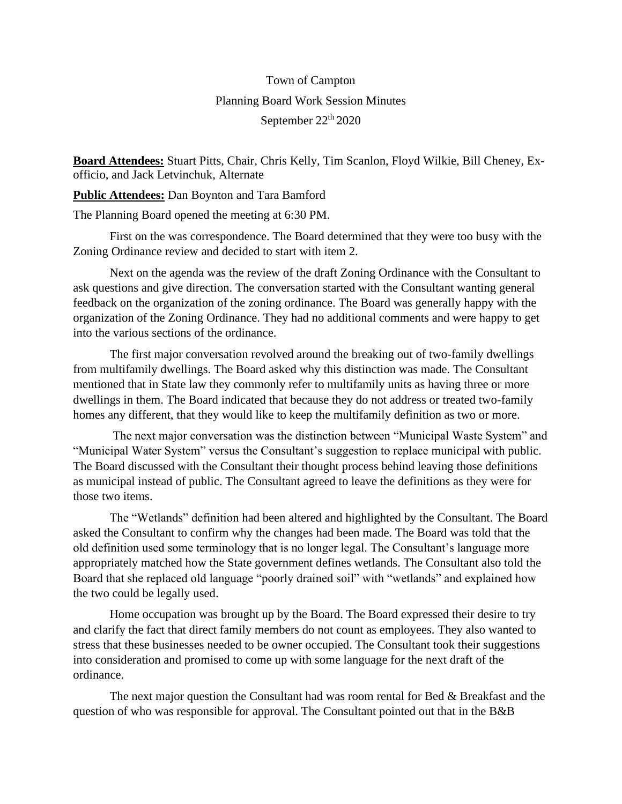## Town of Campton Planning Board Work Session Minutes September 22<sup>th</sup> 2020

**Board Attendees:** Stuart Pitts, Chair, Chris Kelly, Tim Scanlon, Floyd Wilkie, Bill Cheney, Exofficio, and Jack Letvinchuk, Alternate

**Public Attendees:** Dan Boynton and Tara Bamford

The Planning Board opened the meeting at 6:30 PM.

First on the was correspondence. The Board determined that they were too busy with the Zoning Ordinance review and decided to start with item 2.

Next on the agenda was the review of the draft Zoning Ordinance with the Consultant to ask questions and give direction. The conversation started with the Consultant wanting general feedback on the organization of the zoning ordinance. The Board was generally happy with the organization of the Zoning Ordinance. They had no additional comments and were happy to get into the various sections of the ordinance.

The first major conversation revolved around the breaking out of two-family dwellings from multifamily dwellings. The Board asked why this distinction was made. The Consultant mentioned that in State law they commonly refer to multifamily units as having three or more dwellings in them. The Board indicated that because they do not address or treated two-family homes any different, that they would like to keep the multifamily definition as two or more.

The next major conversation was the distinction between "Municipal Waste System" and "Municipal Water System" versus the Consultant's suggestion to replace municipal with public. The Board discussed with the Consultant their thought process behind leaving those definitions as municipal instead of public. The Consultant agreed to leave the definitions as they were for those two items.

The "Wetlands" definition had been altered and highlighted by the Consultant. The Board asked the Consultant to confirm why the changes had been made. The Board was told that the old definition used some terminology that is no longer legal. The Consultant's language more appropriately matched how the State government defines wetlands. The Consultant also told the Board that she replaced old language "poorly drained soil" with "wetlands" and explained how the two could be legally used.

Home occupation was brought up by the Board. The Board expressed their desire to try and clarify the fact that direct family members do not count as employees. They also wanted to stress that these businesses needed to be owner occupied. The Consultant took their suggestions into consideration and promised to come up with some language for the next draft of the ordinance.

The next major question the Consultant had was room rental for Bed  $\&$  Breakfast and the question of who was responsible for approval. The Consultant pointed out that in the B&B